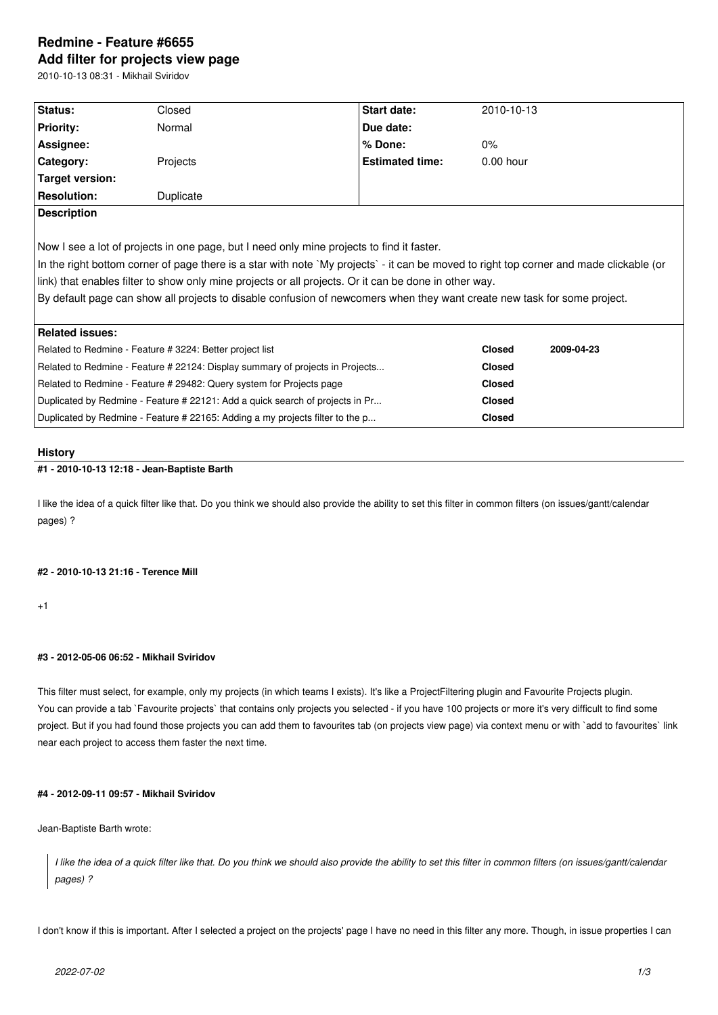# **Redmine - Feature #6655 Add filter for projects view page**

2010-10-13 08:31 - Mikhail Sviridov

| Status:                                                                                                                  | Closed    | Start date:                                                                                                                             | 2010-10-13    |            |
|--------------------------------------------------------------------------------------------------------------------------|-----------|-----------------------------------------------------------------------------------------------------------------------------------------|---------------|------------|
| <b>Priority:</b>                                                                                                         | Normal    | Due date:                                                                                                                               |               |            |
| Assignee:                                                                                                                |           | % Done:                                                                                                                                 | $0\%$         |            |
| Category:                                                                                                                | Projects  | <b>Estimated time:</b>                                                                                                                  | $0.00$ hour   |            |
| Target version:                                                                                                          |           |                                                                                                                                         |               |            |
| <b>Resolution:</b>                                                                                                       | Duplicate |                                                                                                                                         |               |            |
| <b>Description</b>                                                                                                       |           |                                                                                                                                         |               |            |
|                                                                                                                          |           |                                                                                                                                         |               |            |
| Now I see a lot of projects in one page, but I need only mine projects to find it faster.                                |           |                                                                                                                                         |               |            |
|                                                                                                                          |           | In the right bottom corner of page there is a star with note `My projects` - it can be moved to right top corner and made clickable (or |               |            |
|                                                                                                                          |           | link) that enables filter to show only mine projects or all projects. Or it can be done in other way.                                   |               |            |
| By default page can show all projects to disable confusion of newcomers when they want create new task for some project. |           |                                                                                                                                         |               |            |
|                                                                                                                          |           |                                                                                                                                         |               |            |
| <b>Related issues:</b>                                                                                                   |           |                                                                                                                                         |               |            |
| Related to Redmine - Feature # 3224: Better project list                                                                 |           |                                                                                                                                         | <b>Closed</b> | 2009-04-23 |
| Related to Redmine - Feature # 22124: Display summary of projects in Projects                                            |           |                                                                                                                                         | <b>Closed</b> |            |
| Related to Redmine - Feature # 29482: Query system for Projects page                                                     |           |                                                                                                                                         | <b>Closed</b> |            |
| Duplicated by Redmine - Feature # 22121: Add a quick search of projects in Pr                                            |           |                                                                                                                                         | <b>Closed</b> |            |
| Duplicated by Redmine - Feature # 22165: Adding a my projects filter to the p                                            |           |                                                                                                                                         | <b>Closed</b> |            |
|                                                                                                                          |           |                                                                                                                                         |               |            |

#### **History**

## **#1 - 2010-10-13 12:18 - Jean-Baptiste Barth**

I like the idea of a quick filter like that. Do you think we should also provide the ability to set this filter in common filters (on issues/gantt/calendar pages) ?

#### **#2 - 2010-10-13 21:16 - Terence Mill**

 $+1$ 

## **#3 - 2012-05-06 06:52 - Mikhail Sviridov**

This filter must select, for example, only my projects (in which teams I exists). It's like a ProjectFiltering plugin and Favourite Projects plugin. You can provide a tab `Favourite projects` that contains only projects you selected - if you have 100 projects or more it's very difficult to find some project. But if you had found those projects you can add them to favourites tab (on projects view page) via context menu or with `add to favourites` link near each project to access them faster the next time.

## **#4 - 2012-09-11 09:57 - Mikhail Sviridov**

Jean-Baptiste Barth wrote:

*I like the idea of a quick filter like that. Do you think we should also provide the ability to set this filter in common filters (on issues/gantt/calendar pages) ?*

I don't know if this is important. After I selected a project on the projects' page I have no need in this filter any more. Though, in issue properties I can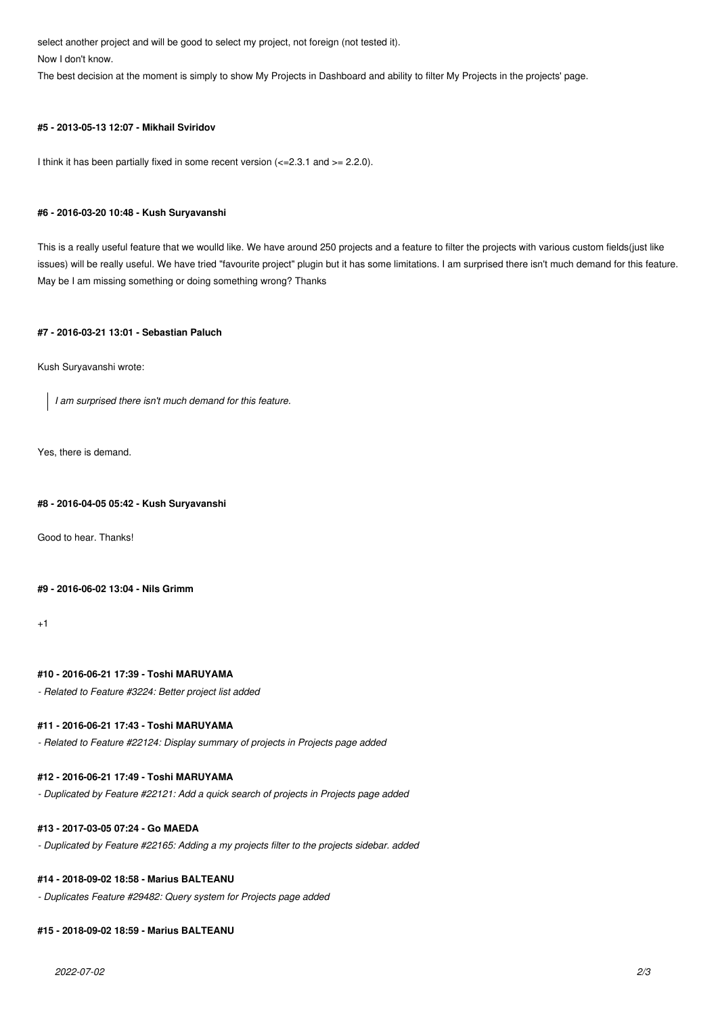select another project and will be good to select my project, not foreign (not tested it).

Now I don't know.

The best decision at the moment is simply to show My Projects in Dashboard and ability to filter My Projects in the projects' page.

## **#5 - 2013-05-13 12:07 - Mikhail Sviridov**

I think it has been partially fixed in some recent version  $\left( \langle -2.3.1 \rangle 2.2.0 \right)$ .

#### **#6 - 2016-03-20 10:48 - Kush Suryavanshi**

This is a really useful feature that we woulld like. We have around 250 projects and a feature to filter the projects with various custom fields(just like issues) will be really useful. We have tried "favourite project" plugin but it has some limitations. I am surprised there isn't much demand for this feature. May be I am missing something or doing something wrong? Thanks

#### **#7 - 2016-03-21 13:01 - Sebastian Paluch**

Kush Suryavanshi wrote:

*I am surprised there isn't much demand for this feature.*

Yes, there is demand.

#### **#8 - 2016-04-05 05:42 - Kush Suryavanshi**

Good to hear. Thanks!

#### **#9 - 2016-06-02 13:04 - Nils Grimm**

 $+1$ 

#### **#10 - 2016-06-21 17:39 - Toshi MARUYAMA**

*- Related to Feature #3224: Better project list added*

#### **#11 - 2016-06-21 17:43 - Toshi MARUYAMA**

*- Related to Feature #22124: Display summary of projects in Projects page added*

#### **#12 - 2016-06-21 17:49 - Toshi MARUYAMA**

*- Duplicated by Feature #22121: Add a quick search of projects in Projects page added*

#### **#13 - 2017-03-05 07:24 - Go MAEDA**

*- Duplicated by Feature #22165: Adding a my projects filter to the projects sidebar. added*

## **#14 - 2018-09-02 18:58 - Marius BALTEANU**

*- Duplicates Feature #29482: Query system for Projects page added*

#### **#15 - 2018-09-02 18:59 - Marius BALTEANU**